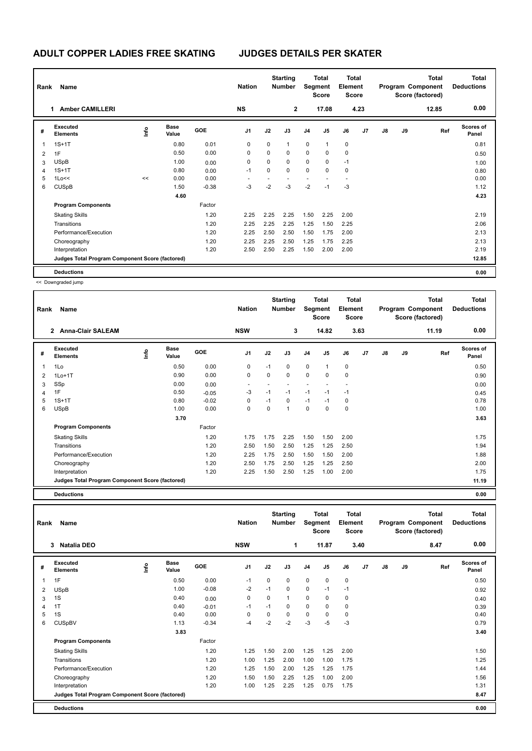## **ADULT COPPER LADIES FREE SKATING JUDGES DETAILS PER SKATER**

| Rank | Name                                            |      |                      |            | <b>Nation</b>  |      | <b>Starting</b><br><b>Number</b> | Segment                  | <b>Total</b><br><b>Score</b> | Total<br>Element<br><b>Score</b> |      |               |    | <b>Total</b><br>Program Component<br>Score (factored) | Total<br><b>Deductions</b> |
|------|-------------------------------------------------|------|----------------------|------------|----------------|------|----------------------------------|--------------------------|------------------------------|----------------------------------|------|---------------|----|-------------------------------------------------------|----------------------------|
|      | <b>Amber CAMILLERI</b><br>1.                    |      |                      |            | <b>NS</b>      |      | $\mathbf{2}$                     |                          | 17.08                        |                                  | 4.23 |               |    | 12.85                                                 | 0.00                       |
| #    | Executed<br><b>Elements</b>                     | ١nfo | <b>Base</b><br>Value | <b>GOE</b> | J <sub>1</sub> | J2   | J3                               | J <sub>4</sub>           | J5                           | J6                               | J7   | $\mathsf{J}8$ | J9 | Ref                                                   | <b>Scores of</b><br>Panel  |
| 1    | $1S+1T$                                         |      | 0.80                 | 0.01       | 0              | 0    | $\mathbf{1}$                     | $\mathbf 0$              | 1                            | 0                                |      |               |    |                                                       | 0.81                       |
| 2    | 1F                                              |      | 0.50                 | 0.00       | 0              | 0    | 0                                | 0                        | 0                            | 0                                |      |               |    |                                                       | 0.50                       |
| 3    | <b>USpB</b>                                     |      | 1.00                 | 0.00       | 0              | 0    | $\Omega$                         | 0                        | 0                            | $-1$                             |      |               |    |                                                       | 1.00                       |
| 4    | $1S+1T$                                         |      | 0.80                 | 0.00       | $-1$           | 0    | $\mathbf 0$                      | 0                        | 0                            | $\mathbf 0$                      |      |               |    |                                                       | 0.80                       |
| 5    | 1Lo<<                                           | <<   | 0.00                 | 0.00       |                |      |                                  | $\overline{\phantom{a}}$ |                              |                                  |      |               |    |                                                       | 0.00                       |
| 6    | <b>CUSpB</b>                                    |      | 1.50                 | $-0.38$    | $-3$           | $-2$ | $-3$                             | $-2$                     | $-1$                         | $-3$                             |      |               |    |                                                       | 1.12                       |
|      |                                                 |      | 4.60                 |            |                |      |                                  |                          |                              |                                  |      |               |    |                                                       | 4.23                       |
|      | <b>Program Components</b>                       |      |                      | Factor     |                |      |                                  |                          |                              |                                  |      |               |    |                                                       |                            |
|      | <b>Skating Skills</b>                           |      |                      | 1.20       | 2.25           | 2.25 | 2.25                             | 1.50                     | 2.25                         | 2.00                             |      |               |    |                                                       | 2.19                       |
|      | Transitions                                     |      |                      | 1.20       | 2.25           | 2.25 | 2.25                             | 1.25                     | 1.50                         | 2.25                             |      |               |    |                                                       | 2.06                       |
|      | Performance/Execution                           |      |                      | 1.20       | 2.25           | 2.50 | 2.50                             | 1.50                     | 1.75                         | 2.00                             |      |               |    |                                                       | 2.13                       |
|      | Choreography                                    |      |                      | 1.20       | 2.25           | 2.25 | 2.50                             | 1.25                     | 1.75                         | 2.25                             |      |               |    |                                                       | 2.13                       |
|      | Interpretation                                  |      |                      | 1.20       | 2.50           | 2.50 | 2.25                             | 1.50                     | 2.00                         | 2.00                             |      |               |    |                                                       | 2.19                       |
|      | Judges Total Program Component Score (factored) |      |                      |            |                |      |                                  |                          |                              |                                  |      |               |    |                                                       | 12.85                      |
|      | <b>Deductions</b>                               |      |                      |            |                |      |                                  |                          |                              |                                  |      |               |    |                                                       | 0.00                       |

<< Downgraded jump

| Rank<br>Name   |                                                 |                         |                      |         |                          |             | <b>Starting</b><br><b>Number</b> | <b>Total</b><br>Segment<br>Score |                | Total<br>Element<br><b>Score</b> |      | <b>Total</b><br>Program Component<br>Score (factored) |    |       | <b>Total</b><br><b>Deductions</b> |
|----------------|-------------------------------------------------|-------------------------|----------------------|---------|--------------------------|-------------|----------------------------------|----------------------------------|----------------|----------------------------------|------|-------------------------------------------------------|----|-------|-----------------------------------|
|                | 2 Anna-Clair SALEAM                             |                         |                      |         | <b>NSW</b>               |             | 3                                |                                  | 14.82          |                                  | 3.63 |                                                       |    | 11.19 | 0.00                              |
| #              | Executed<br><b>Elements</b>                     | $\mathsf{f}^\mathsf{o}$ | <b>Base</b><br>Value | GOE     | J1                       | J2          | J3                               | J <sub>4</sub>                   | J <sub>5</sub> | J6                               | J7   | $\mathsf{J}8$                                         | J9 | Ref   | <b>Scores of</b><br>Panel         |
| 1              | 1Lo                                             |                         | 0.50                 | 0.00    | 0                        | $-1$        | $\mathbf 0$                      | $\mathbf 0$                      | 1              | $\mathbf 0$                      |      |                                                       |    |       | 0.50                              |
| $\overline{2}$ | $1Lo+1T$                                        |                         | 0.90                 | 0.00    | 0                        | $\mathbf 0$ | 0                                | $\mathbf 0$                      | 0              | $\mathbf 0$                      |      |                                                       |    |       | 0.90                              |
| 3              | SSp                                             |                         | 0.00                 | 0.00    | $\overline{\phantom{a}}$ |             |                                  |                                  |                |                                  |      |                                                       |    |       | 0.00                              |
| 4              | 1F                                              |                         | 0.50                 | $-0.05$ | $-3$                     | $-1$        | $-1$                             | $-1$                             | $-1$           | $-1$                             |      |                                                       |    |       | 0.45                              |
| 5              | $1S+1T$                                         |                         | 0.80                 | $-0.02$ | 0                        | $-1$        | $\mathbf 0$                      | $-1$                             | $-1$           | 0                                |      |                                                       |    |       | 0.78                              |
| 6              | <b>USpB</b>                                     |                         | 1.00                 | 0.00    | 0                        | $\Omega$    | $\mathbf{1}$                     | $\mathbf 0$                      | $\Omega$       | 0                                |      |                                                       |    |       | 1.00                              |
|                |                                                 |                         | 3.70                 |         |                          |             |                                  |                                  |                |                                  |      |                                                       |    |       | 3.63                              |
|                | <b>Program Components</b>                       |                         |                      | Factor  |                          |             |                                  |                                  |                |                                  |      |                                                       |    |       |                                   |
|                | <b>Skating Skills</b>                           |                         |                      | 1.20    | 1.75                     | 1.75        | 2.25                             | 1.50                             | 1.50           | 2.00                             |      |                                                       |    |       | 1.75                              |
|                | Transitions                                     |                         |                      | 1.20    | 2.50                     | 1.50        | 2.50                             | 1.25                             | 1.25           | 2.50                             |      |                                                       |    |       | 1.94                              |
|                | Performance/Execution                           |                         |                      | 1.20    | 2.25                     | 1.75        | 2.50                             | 1.50                             | 1.50           | 2.00                             |      |                                                       |    |       | 1.88                              |
|                | Choreography                                    |                         |                      | 1.20    | 2.50                     | 1.75        | 2.50                             | 1.25                             | 1.25           | 2.50                             |      |                                                       |    |       | 2.00                              |
|                | Interpretation                                  |                         |                      | 1.20    | 2.25                     | 1.50        | 2.50                             | 1.25                             | 1.00           | 2.00                             |      |                                                       |    |       | 1.75                              |
|                | Judges Total Program Component Score (factored) |                         |                      |         |                          |             |                                  |                                  |                |                                  |      |                                                       |    |       | 11.19                             |
|                | <b>Deductions</b>                               |                         |                      |         |                          |             |                                  |                                  |                |                                  |      |                                                       |    |       | 0.00                              |

| Rank | Name                                            |      |                      |         | <b>Nation</b>  |      | <b>Starting</b><br><b>Number</b> |                | <b>Total</b><br>Segment<br><b>Score</b> | <b>Total</b><br>Element<br><b>Score</b> |                |    |    | <b>Total</b><br>Program Component<br>Score (factored) | <b>Total</b><br><b>Deductions</b> |
|------|-------------------------------------------------|------|----------------------|---------|----------------|------|----------------------------------|----------------|-----------------------------------------|-----------------------------------------|----------------|----|----|-------------------------------------------------------|-----------------------------------|
|      | 3<br>Natalia DEO                                |      |                      |         | <b>NSW</b>     |      | 1                                |                | 11.87                                   |                                         | 3.40           |    |    | 8.47                                                  | 0.00                              |
| #    | Executed<br><b>Elements</b>                     | ١nf٥ | <b>Base</b><br>Value | GOE     | J <sub>1</sub> | J2   | J3                               | J <sub>4</sub> | J <sub>5</sub>                          | J6                                      | J <sub>7</sub> | J8 | J9 | Ref                                                   | <b>Scores of</b><br>Panel         |
| 1    | 1F                                              |      | 0.50                 | 0.00    | $-1$           | 0    | $\mathbf 0$                      | $\mathbf 0$    | $\mathbf 0$                             | 0                                       |                |    |    |                                                       | 0.50                              |
| 2    | <b>USpB</b>                                     |      | 1.00                 | $-0.08$ | $-2$           | $-1$ | $\mathbf 0$                      | $\mathbf 0$    | $-1$                                    | $-1$                                    |                |    |    |                                                       | 0.92                              |
| 3    | 1S                                              |      | 0.40                 | 0.00    | 0              | 0    | 1                                | 0              | 0                                       | 0                                       |                |    |    |                                                       | 0.40                              |
| 4    | 1T                                              |      | 0.40                 | $-0.01$ | $-1$           | $-1$ | $\mathbf 0$                      | 0              | 0                                       | 0                                       |                |    |    |                                                       | 0.39                              |
| 5    | 1S                                              |      | 0.40                 | 0.00    | 0              | 0    | $\mathbf 0$                      | 0              | 0                                       | 0                                       |                |    |    |                                                       | 0.40                              |
| 6    | <b>CUSpBV</b>                                   |      | 1.13                 | $-0.34$ | $-4$           | -2   | $-2$                             | $-3$           | $-5$                                    | $-3$                                    |                |    |    |                                                       | 0.79                              |
|      |                                                 |      | 3.83                 |         |                |      |                                  |                |                                         |                                         |                |    |    |                                                       | 3.40                              |
|      | <b>Program Components</b>                       |      |                      | Factor  |                |      |                                  |                |                                         |                                         |                |    |    |                                                       |                                   |
|      | <b>Skating Skills</b>                           |      |                      | 1.20    | 1.25           | 1.50 | 2.00                             | 1.25           | 1.25                                    | 2.00                                    |                |    |    |                                                       | 1.50                              |
|      | Transitions                                     |      |                      | 1.20    | 1.00           | 1.25 | 2.00                             | 1.00           | 1.00                                    | 1.75                                    |                |    |    |                                                       | 1.25                              |
|      | Performance/Execution                           |      |                      | 1.20    | 1.25           | 1.50 | 2.00                             | 1.25           | 1.25                                    | 1.75                                    |                |    |    |                                                       | 1.44                              |
|      | Choreography                                    |      |                      | 1.20    | 1.50           | 1.50 | 2.25                             | 1.25           | 1.00                                    | 2.00                                    |                |    |    |                                                       | 1.56                              |
|      | Interpretation                                  |      |                      | 1.20    | 1.00           | 1.25 | 2.25                             | 1.25           | 0.75                                    | 1.75                                    |                |    |    |                                                       | 1.31                              |
|      | Judges Total Program Component Score (factored) |      |                      |         |                |      |                                  |                |                                         |                                         |                |    |    |                                                       | 8.47                              |
|      | <b>Deductions</b>                               |      |                      |         |                |      |                                  |                |                                         |                                         |                |    |    |                                                       | 0.00                              |